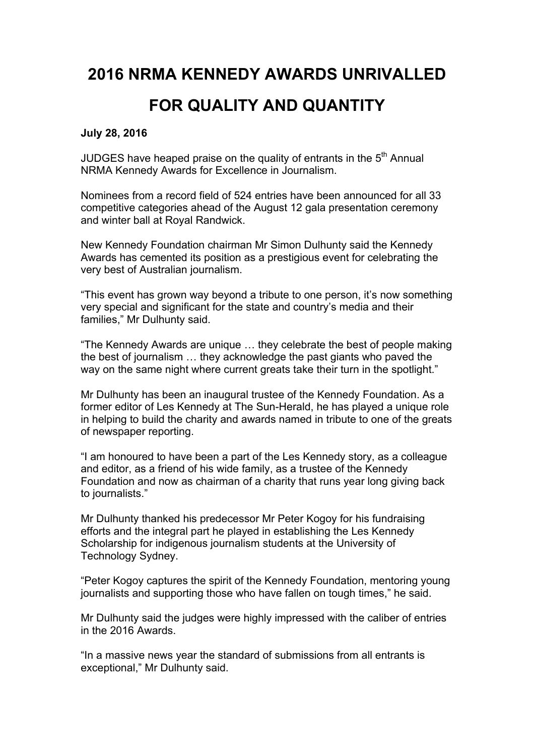# **2016 NRMA KENNEDY AWARDS UNRIVALLED**

## **FOR QUALITY AND QUANTITY**

#### **July 28, 2016**

JUDGES have heaped praise on the quality of entrants in the  $5<sup>th</sup>$  Annual NRMA Kennedy Awards for Excellence in Journalism.

Nominees from a record field of 524 entries have been announced for all 33 competitive categories ahead of the August 12 gala presentation ceremony and winter ball at Royal Randwick.

New Kennedy Foundation chairman Mr Simon Dulhunty said the Kennedy Awards has cemented its position as a prestigious event for celebrating the very best of Australian journalism.

"This event has grown way beyond a tribute to one person, it's now something very special and significant for the state and country's media and their families," Mr Dulhunty said.

"The Kennedy Awards are unique … they celebrate the best of people making the best of journalism … they acknowledge the past giants who paved the way on the same night where current greats take their turn in the spotlight."

Mr Dulhunty has been an inaugural trustee of the Kennedy Foundation. As a former editor of Les Kennedy at The Sun-Herald, he has played a unique role in helping to build the charity and awards named in tribute to one of the greats of newspaper reporting.

"I am honoured to have been a part of the Les Kennedy story, as a colleague and editor, as a friend of his wide family, as a trustee of the Kennedy Foundation and now as chairman of a charity that runs year long giving back to journalists."

Mr Dulhunty thanked his predecessor Mr Peter Kogoy for his fundraising efforts and the integral part he played in establishing the Les Kennedy Scholarship for indigenous journalism students at the University of Technology Sydney.

"Peter Kogoy captures the spirit of the Kennedy Foundation, mentoring young journalists and supporting those who have fallen on tough times," he said.

Mr Dulhunty said the judges were highly impressed with the caliber of entries in the 2016 Awards.

"In a massive news year the standard of submissions from all entrants is exceptional," Mr Dulhunty said.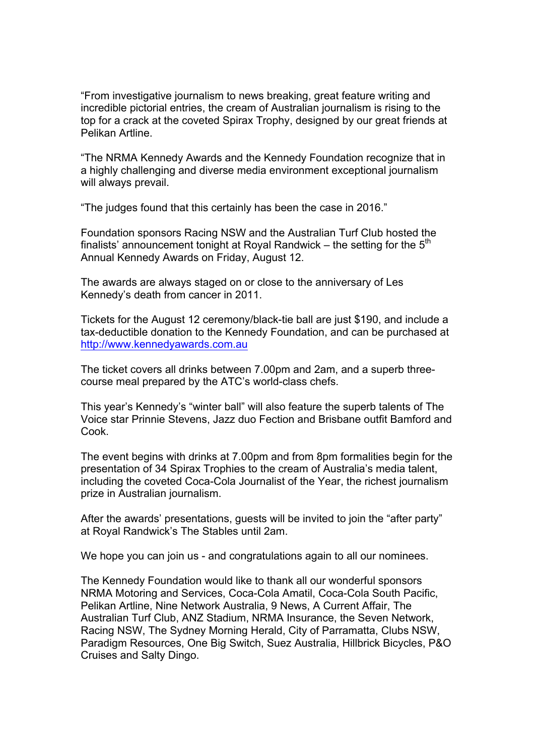"From investigative journalism to news breaking, great feature writing and incredible pictorial entries, the cream of Australian journalism is rising to the top for a crack at the coveted Spirax Trophy, designed by our great friends at Pelikan Artline.

"The NRMA Kennedy Awards and the Kennedy Foundation recognize that in a highly challenging and diverse media environment exceptional journalism will always prevail.

"The judges found that this certainly has been the case in 2016."

Foundation sponsors Racing NSW and the Australian Turf Club hosted the finalists' announcement tonight at Royal Randwick – the setting for the  $5<sup>th</sup>$ Annual Kennedy Awards on Friday, August 12.

The awards are always staged on or close to the anniversary of Les Kennedy's death from cancer in 2011.

Tickets for the August 12 ceremony/black-tie ball are just \$190, and include a tax-deductible donation to the Kennedy Foundation, and can be purchased at http://www.kennedyawards.com.au

The ticket covers all drinks between 7.00pm and 2am, and a superb threecourse meal prepared by the ATC's world-class chefs.

This year's Kennedy's "winter ball" will also feature the superb talents of The Voice star Prinnie Stevens, Jazz duo Fection and Brisbane outfit Bamford and Cook.

The event begins with drinks at 7.00pm and from 8pm formalities begin for the presentation of 34 Spirax Trophies to the cream of Australia's media talent, including the coveted Coca-Cola Journalist of the Year, the richest journalism prize in Australian journalism.

After the awards' presentations, guests will be invited to join the "after party" at Royal Randwick's The Stables until 2am.

We hope you can join us - and congratulations again to all our nominees.

The Kennedy Foundation would like to thank all our wonderful sponsors NRMA Motoring and Services, Coca-Cola Amatil, Coca-Cola South Pacific, Pelikan Artline, Nine Network Australia, 9 News, A Current Affair, The Australian Turf Club, ANZ Stadium, NRMA Insurance, the Seven Network, Racing NSW, The Sydney Morning Herald, City of Parramatta, Clubs NSW, Paradigm Resources, One Big Switch, Suez Australia, Hillbrick Bicycles, P&O Cruises and Salty Dingo.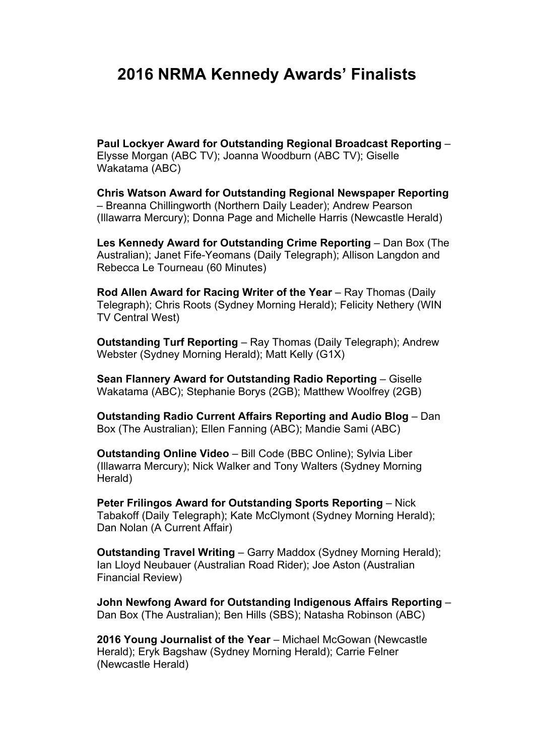### **2016 NRMA Kennedy Awards' Finalists**

**Paul Lockyer Award for Outstanding Regional Broadcast Reporting** – Elysse Morgan (ABC TV); Joanna Woodburn (ABC TV); Giselle Wakatama (ABC)

**Chris Watson Award for Outstanding Regional Newspaper Reporting**  – Breanna Chillingworth (Northern Daily Leader); Andrew Pearson (Illawarra Mercury); Donna Page and Michelle Harris (Newcastle Herald)

**Les Kennedy Award for Outstanding Crime Reporting - Dan Box (The** Australian); Janet Fife-Yeomans (Daily Telegraph); Allison Langdon and Rebecca Le Tourneau (60 Minutes)

**Rod Allen Award for Racing Writer of the Year - Ray Thomas (Daily** Telegraph); Chris Roots (Sydney Morning Herald); Felicity Nethery (WIN TV Central West)

**Outstanding Turf Reporting** – Ray Thomas (Daily Telegraph); Andrew Webster (Sydney Morning Herald); Matt Kelly (G1X)

**Sean Flannery Award for Outstanding Radio Reporting** – Giselle Wakatama (ABC); Stephanie Borys (2GB); Matthew Woolfrey (2GB)

**Outstanding Radio Current Affairs Reporting and Audio Blog** – Dan Box (The Australian); Ellen Fanning (ABC); Mandie Sami (ABC)

**Outstanding Online Video** – Bill Code (BBC Online); Sylvia Liber (Illawarra Mercury); Nick Walker and Tony Walters (Sydney Morning Herald)

**Peter Frilingos Award for Outstanding Sports Reporting – Nick** Tabakoff (Daily Telegraph); Kate McClymont (Sydney Morning Herald); Dan Nolan (A Current Affair)

**Outstanding Travel Writing** – Garry Maddox (Sydney Morning Herald); Ian Lloyd Neubauer (Australian Road Rider); Joe Aston (Australian Financial Review)

**John Newfong Award for Outstanding Indigenous Affairs Reporting** – Dan Box (The Australian); Ben Hills (SBS); Natasha Robinson (ABC)

**2016 Young Journalist of the Year** – Michael McGowan (Newcastle Herald); Eryk Bagshaw (Sydney Morning Herald); Carrie Felner (Newcastle Herald)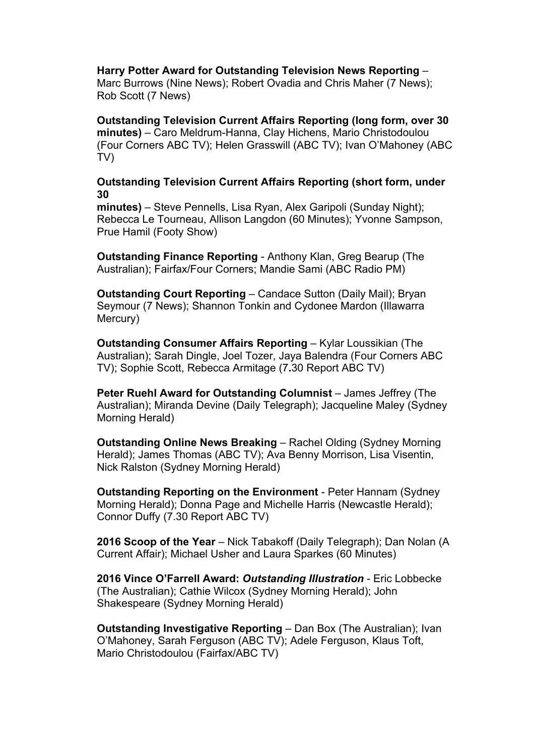**Harry Potter Award for Outstanding Television News Reporting** –

Marc Burrows (Nine News); Robert Ovadia and Chris Maher (7 News); Rob Scott (7 News)

**Outstanding Television Current Affairs Reporting (long form, over 30 minutes)** – Caro Meldrum-Hanna, Clay Hichens, Mario Christodoulou (Four Corners ABC TV); Helen Grasswill (ABC TV); Ivan O'Mahoney (ABC TV)

### **Outstanding Television Current Affairs Reporting (short form, under 30**

**minutes)** – Steve Pennells, Lisa Ryan, Alex Garipoli (Sunday Night); Rebecca Le Tourneau, Allison Langdon (60 Minutes); Yvonne Sampson, Prue Hamil (Footy Show)

**Outstanding Finance Reporting** - Anthony Klan, Greg Bearup (The Australian); Fairfax/Four Corners; Mandie Sami (ABC Radio PM)

**Outstanding Court Reporting** – Candace Sutton (Daily Mail); Bryan Seymour (7 News); Shannon Tonkin and Cydonee Mardon (Illawarra Mercury)

**Outstanding Consumer Affairs Reporting – Kylar Loussikian (The** Australian); Sarah Dingle, Joel Tozer, Jaya Balendra (Four Corners ABC TV); Sophie Scott, Rebecca Armitage (7**.**30 Report ABC TV)

**Peter Ruehl Award for Outstanding Columnist** – James Jeffrey (The Australian); Miranda Devine (Daily Telegraph); Jacqueline Maley (Sydney Morning Herald)

**Outstanding Online News Breaking** – Rachel Olding (Sydney Morning Herald); James Thomas (ABC TV); Ava Benny Morrison, Lisa Visentin, Nick Ralston (Sydney Morning Herald)

**Outstanding Reporting on the Environment** - Peter Hannam (Sydney Morning Herald); Donna Page and Michelle Harris (Newcastle Herald); Connor Duffy (7.30 Report ABC TV)

**2016 Scoop of the Year** – Nick Tabakoff (Daily Telegraph); Dan Nolan (A Current Affair); Michael Usher and Laura Sparkes (60 Minutes)

**2016 Vince O'Farrell Award:** *Outstanding Illustration* - Eric Lobbecke (The Australian); Cathie Wilcox (Sydney Morning Herald); John Shakespeare (Sydney Morning Herald)

**Outstanding Investigative Reporting – Dan Box (The Australian); Ivan** O'Mahoney, Sarah Ferguson (ABC TV); Adele Ferguson, Klaus Toft, Mario Christodoulou (Fairfax/ABC TV)